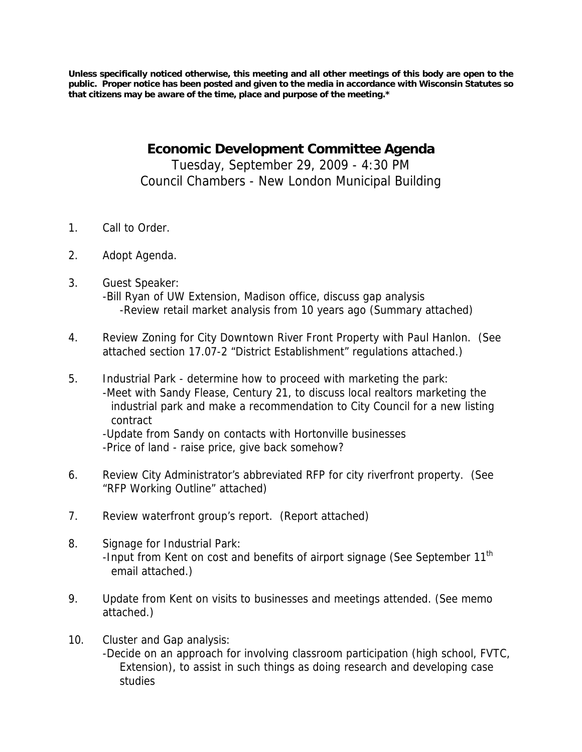**Unless specifically noticed otherwise, this meeting and all other meetings of this body are open to the public. Proper notice has been posted and given to the media in accordance with Wisconsin Statutes so that citizens may be aware of the time, place and purpose of the meeting.\*** 

> **Economic Development Committee Agenda**  Tuesday, September 29, 2009 - 4:30 PM Council Chambers - New London Municipal Building

- 1. Call to Order.
- 2. Adopt Agenda.
- 3. Guest Speaker: -Bill Ryan of UW Extension, Madison office, discuss gap analysis -Review retail market analysis from 10 years ago (Summary attached)
- 4. Review Zoning for City Downtown River Front Property with Paul Hanlon. (See attached section 17.07-2 "District Establishment" regulations attached.)
- 5. Industrial Park determine how to proceed with marketing the park: -Meet with Sandy Flease, Century 21, to discuss local realtors marketing the industrial park and make a recommendation to City Council for a new listing contract

-Update from Sandy on contacts with Hortonville businesses -Price of land - raise price, give back somehow?

- 6. Review City Administrator's abbreviated RFP for city riverfront property. (See "RFP Working Outline" attached)
- 7. Review waterfront group's report. (Report attached)
- 8. Signage for Industrial Park: -Input from Kent on cost and benefits of airport signage (See September 11<sup>th</sup> email attached.)
- 9. Update from Kent on visits to businesses and meetings attended. (See memo attached.)
- 10. Cluster and Gap analysis: -Decide on an approach for involving classroom participation (high school, FVTC, Extension), to assist in such things as doing research and developing case studies